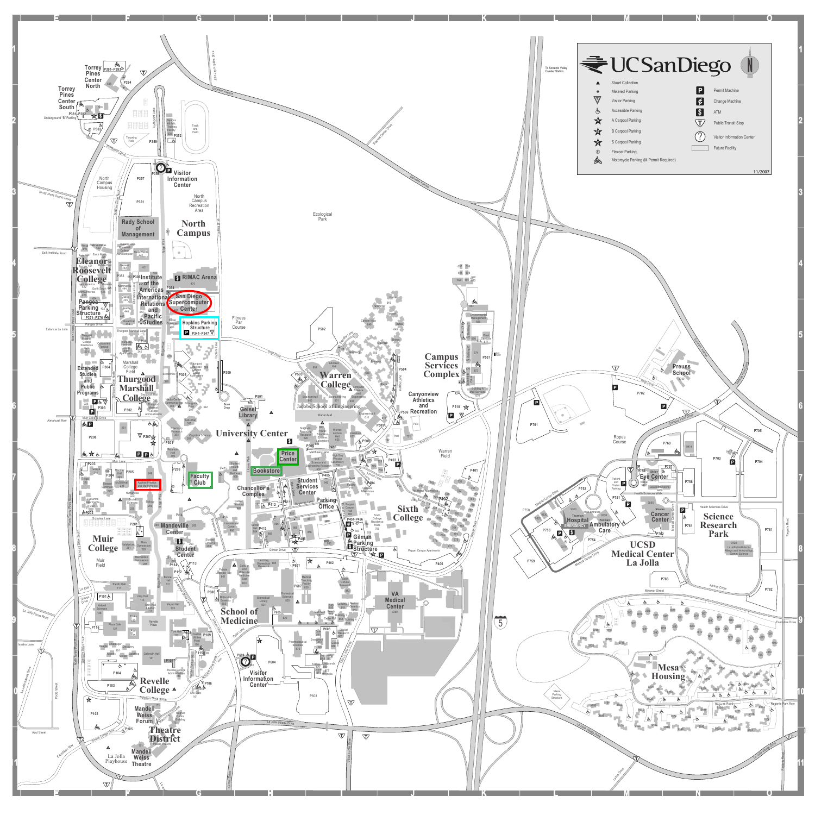